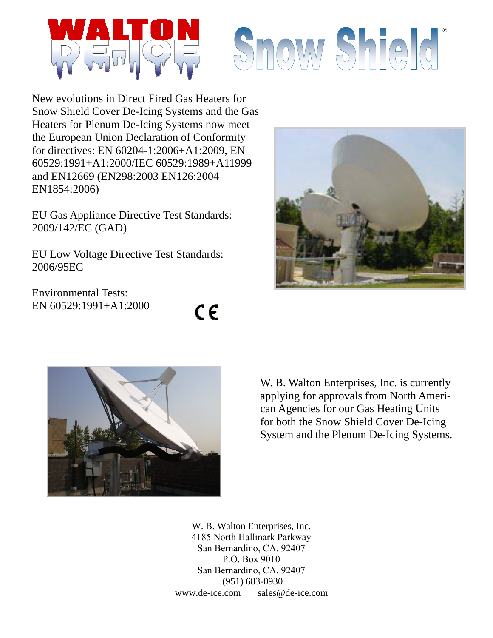

## Snow Shield'

New evolutions in Direct Fired Gas Heaters for Snow Shield Cover De-Icing Systems and the Gas Heaters for Plenum De-Icing Systems now meet the European Union Declaration of Conformity for directives: EN 60204-1:2006+A1:2009, EN 60529:1991+A1:2000/IEC 60529:1989+A11999 and EN12669 (EN298:2003 EN126:2004 EN1854:2006)

EU Gas Appliance Directive Test Standards: 2009/142/EC (GAD)

EU Low Voltage Directive Test Standards: 2006/95EC

Environmental Tests: EN 60529:1991+A1:2000







W. B. Walton Enterprises, Inc. is currently applying for approvals from North American Agencies for our Gas Heating Units for both the Snow Shield Cover De-Icing System and the Plenum De-Icing Systems.

W. B. Walton Enterprises, Inc. 4185 North Hallmark Parkway San Bernardino, CA. 92407 P.O. Box 9010 San Bernardino, CA. 92407 (951) 683-0930 www.de-ice.com sales@de-ice.com